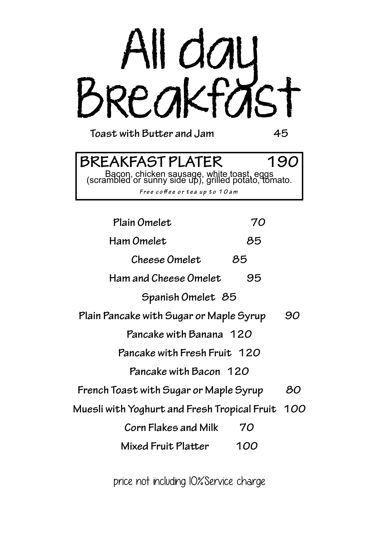

**Toast with Butter and Jam 45**

# **BREAKFAST PLATER 190**

Bacon, chicken sausage, white toast, eggs (scrambled or sunny side up), grilled potato, tomato.

*Free co***ff***ee or tea up to 10am*

| Plain Omelet<br>70                               |    |
|--------------------------------------------------|----|
| Ham Omelet<br>85                                 |    |
| Cheese Omelet<br>85                              |    |
| Ham and Cheese Omelet<br>95                      |    |
| Spanish Omelet 85                                |    |
| Plain Pancake with Sugar or Maple Syrup          | 90 |
| Pancake with Banana 120                          |    |
| Pancake with Fresh Fruit 120                     |    |
| Pancake with Bacon 120                           |    |
| French Toast with Sugar or Maple Syrup           | 80 |
| Muesli with Yoghurt and Fresh Tropical Fruit 100 |    |
| Corn Flakes and Milk<br>70                       |    |
| Mixed Fruit Platter<br>100                       |    |

price not including 10%Service charge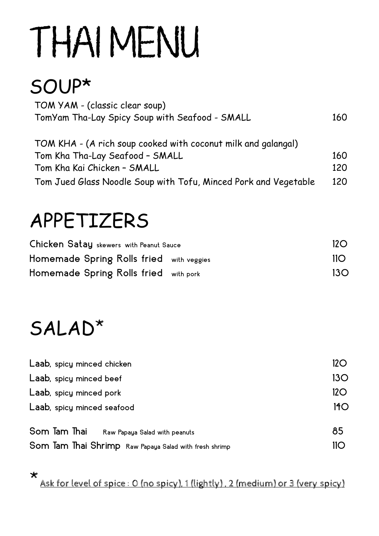# THAI MENU

## SOUP\*

| TOM YAM - (classic clear soup)                 |     |
|------------------------------------------------|-----|
| TomYam Tha-Lay Spicy Soup with Seafood - SMALL | 160 |

| TOM KHA - (A rich soup cooked with coconut milk and galangal)   |     |
|-----------------------------------------------------------------|-----|
| Tom Kha Tha-Lay Seafood - SMALL                                 | 160 |
| Tom Kha Kai Chicken - SMALL                                     | 120 |
| Tom Jued Glass Noodle Soup with Tofu, Minced Pork and Vegetable | 120 |

### APPETIZERS

| Chicken Satay skewers with Peanut Sauce  | 12O              |
|------------------------------------------|------------------|
| Homemade Spring Rolls fried with veggies | 110 <sup>°</sup> |
| Homemade Spring Rolls fried with pork    | 13 <sub>O</sub>  |

### SALAD\*

| Laab, spicy minced chicken                             | 12O |
|--------------------------------------------------------|-----|
| Laab, spicy minced beef                                | 13O |
| Laab, spicy minced pork                                | 12O |
| Laab, spicy minced seafood                             | 14O |
| Som Tam Thai<br>Raw Papaya Salad with peanuts          | 85  |
| Som Tam Thai Shrimp Raw Papaya Salad with fresh shrimp | 11O |

\* Ask for level of spice : 0 (no spicy), 1 (lightly) , 2 (medium) or 3 (very spicy)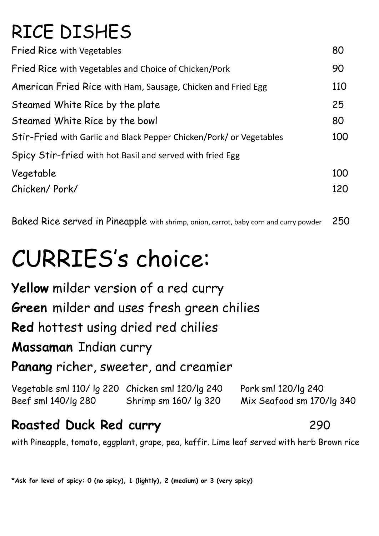### RICE DISHES

| <b>Fried Rice with Vegetables</b>                                   | 80  |
|---------------------------------------------------------------------|-----|
| <b>Fried Rice with Vegetables and Choice of Chicken/Pork</b>        | 90  |
| American Fried Rice with Ham, Sausage, Chicken and Fried Egg        | 110 |
| Steamed White Rice by the plate                                     | 25  |
| Steamed White Rice by the bowl                                      | 80  |
| Stir-Fried with Garlic and Black Pepper Chicken/Pork/ or Vegetables | 100 |
| Spicy Stir-fried with hot Basil and served with fried Egg           |     |
| Vegetable                                                           | 100 |
| Chicken/Pork/                                                       | 120 |

Baked Rice served in Pineapple with shrimp, onion, carrot, baby corn and curry powder 250

# CURRIES's choice:

**Yellow** milder version of a red curry **Green** milder and uses fresh green chilies **Red** hottest using dried red chilies **Massaman** Indian curry **Panang** richer, sweeter, and creamier

| Vegetable sml 110/lg 220 Chicken sml 120/lg 240 |                           | Pork sml 120/lg 240       |
|-------------------------------------------------|---------------------------|---------------------------|
| Beef sml 140/lg 280                             | Shrimp sm $160/$ lg $320$ | Mix Seafood sm 170/lg 340 |

#### **Roasted Duck Red curry** 290

with Pineapple, tomato, eggplant, grape, pea, kaffir. Lime leaf served with herb Brown rice

**\*Ask for level of spicy: 0 (no spicy), 1 (lightly), 2 (medium) or 3 (very spicy)**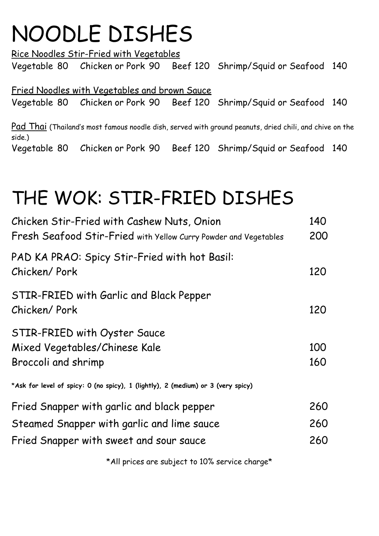# NOODLE DISHES

Rice Noodles Stir-Fried with Vegetables Vegetable 80 Chicken or Pork 90 Beef 120 Shrimp/Squid or Seafood 140

Fried Noodles with Vegetables and brown Sauce Vegetable 80 Chicken or Pork 90 Beef 120 Shrimp/Squid or Seafood 140

Pad Thai (Thailand's most famous noodle dish, served with ground peanuts, dried chili, and chive on the side.) Vegetable 80 Chicken or Pork 90 Beef 120 Shrimp/Squid or Seafood 140

### THE WOK: STIR-FRIED DISHES

| Chicken Stir-Fried with Cashew Nuts, Onion<br>Fresh Seafood Stir-Fried with Yellow Curry Powder and Vegetables                      | 140<br>200        |
|-------------------------------------------------------------------------------------------------------------------------------------|-------------------|
| PAD KA PRAO: Spicy Stir-Fried with hot Basil:<br>Chicken/Pork                                                                       | 120               |
| STIR-FRIED with Garlic and Black Pepper<br>Chicken/Pork                                                                             | 120               |
| STIR-FRIED with Oyster Sauce<br>Mixed Vegetables/Chinese Kale<br>Broccoli and shrimp                                                | 100<br>160        |
| *Ask for level of spicy: 0 (no spicy), 1 (lightly), 2 (medium) or 3 (very spicy)                                                    |                   |
| Fried Snapper with garlic and black pepper<br>Steamed Snapper with garlic and lime sauce<br>Fried Snapper with sweet and sour sauce | 260<br>260<br>260 |
|                                                                                                                                     |                   |

\*All prices are subject to 10% service charge\*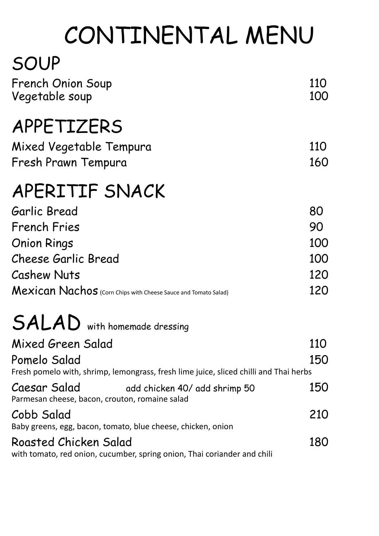# CONTINENTAL MENU

### SOUP

| <b>French Onion Soup</b><br>Vegetable soup                                                            | 110<br>100 |
|-------------------------------------------------------------------------------------------------------|------------|
| APPETIZERS                                                                                            |            |
| Mixed Vegetable Tempura                                                                               | 110        |
| Fresh Prawn Tempura                                                                                   | 160        |
| APERITIF SNACK                                                                                        |            |
| Garlic Bread                                                                                          | 80         |
| <b>French Fries</b>                                                                                   | 90         |
| <b>Onion Rings</b>                                                                                    | 100        |
| <b>Cheese Garlic Bread</b>                                                                            | 100        |
| <b>Cashew Nuts</b>                                                                                    | 120        |
| Mexican Nachos (Corn Chips with Cheese Sauce and Tomato Salad)                                        | 120        |
| <b>SALAD</b> with homemade dressing                                                                   |            |
| Mixed Green Salad                                                                                     | 110        |
| Pomelo Salad<br>Fresh pomelo with, shrimp, lemongrass, fresh lime juice, sliced chilli and Thai herbs | 150        |
| Caesar Salad<br>add chicken 40/ add shrimp 50<br>Parmesan cheese, bacon, crouton, romaine salad       | 150        |
| Cobb Salad<br>Baby greens, egg, bacon, tomato, blue cheese, chicken, onion                            | 210        |
| Roasted Chicken Salad<br>with tomato, red onion, cucumber, spring onion, Thai coriander and chili     | 180        |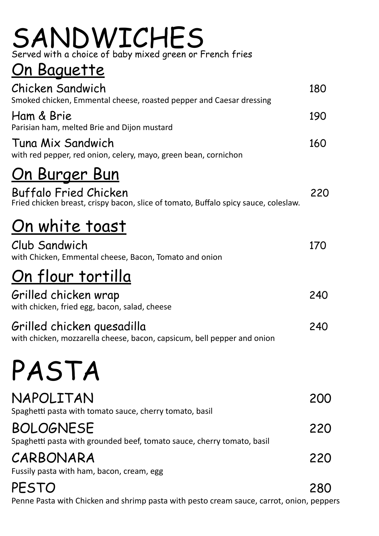#### SANDWICHES Served with a choice of baby mixed green or French fries

### On Baguette

| Chicken Sandwich<br>Smoked chicken, Emmental cheese, roasted pepper and Caesar dressing                             | 180 |
|---------------------------------------------------------------------------------------------------------------------|-----|
| Ham & Brie<br>Parisian ham, melted Brie and Dijon mustard                                                           | 190 |
| Tuna Mix Sandwich<br>with red pepper, red onion, celery, mayo, green bean, cornichon                                | 160 |
| <u>On Burger Bun</u>                                                                                                |     |
| <b>Buffalo Fried Chicken</b><br>Fried chicken breast, crispy bacon, slice of tomato, Buffalo spicy sauce, coleslaw. | 220 |
| <u>On white toast</u>                                                                                               |     |
| Club Sandwich<br>with Chicken, Emmental cheese, Bacon, Tomato and onion                                             | 170 |
| <u>On flour tortilla</u>                                                                                            |     |
| Grilled chicken wrap<br>with chicken, fried egg, bacon, salad, cheese                                               | 240 |
| Grilled chicken quesadilla<br>with chicken, mozzarella cheese, bacon, capsicum, bell pepper and onion               | 240 |
| PASTA                                                                                                               |     |
| NAPOLITAN<br>Spaghetti pasta with tomato sauce, cherry tomato, basil                                                | 200 |
| <b>BOLOGNESE</b><br>Spaghetti pasta with grounded beef, tomato sauce, cherry tomato, basil                          | 220 |
| CARBONARA                                                                                                           | 220 |
| Fussily pasta with ham, bacon, cream, egg<br>PESTO                                                                  | 280 |

Penne Pasta with Chicken and shrimp pasta with pesto cream sauce, carrot, onion, peppers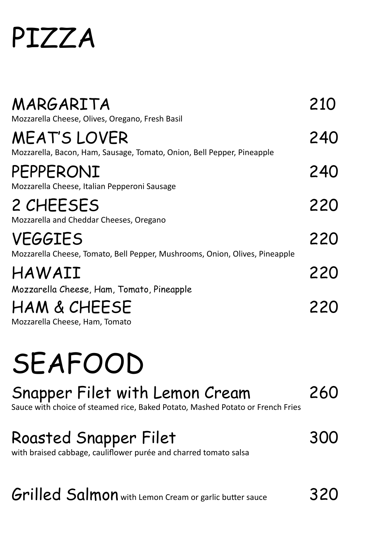# PIZZA

| MARGARITA<br>Mozzarella Cheese, Olives, Oregano, Fresh Basil                                  | 210 |
|-----------------------------------------------------------------------------------------------|-----|
| <b>MEAT'S LOVER</b><br>Mozzarella, Bacon, Ham, Sausage, Tomato, Onion, Bell Pepper, Pineapple | 240 |
| PEPPERONI<br>Mozzarella Cheese, Italian Pepperoni Sausage                                     | 240 |
| 2 CHEESES<br>Mozzarella and Cheddar Cheeses, Oregano                                          | 220 |
| <b>VEGGIES</b><br>Mozzarella Cheese, Tomato, Bell Pepper, Mushrooms, Onion, Olives, Pineapple | 220 |
| HAWAII<br>Mozzarella Cheese, Ham, Tomato, Pineapple                                           | 220 |
| HAM & CHEESE<br>Mozzarella Cheese, Ham, Tomato                                                | 220 |

# SEAFOOD

#### Snapper Filet with Lemon Cream 260 Sauce with choice of steamed rice, Baked Potato, Mashed Potato or French Fries

#### Roasted Snapper Filet 300

with braised cabbage, cauliflower purée and charred tomato salsa

#### Grilled Salmon with Lemon Cream or garlic butter sauce 320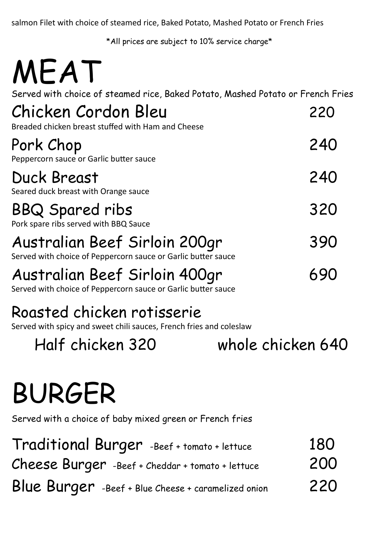salmon Filet with choice of steamed rice, Baked Potato, Mashed Potato or French Fries

\*All prices are subject to 10% service charge\*

| MEAT                                                                                              |     |
|---------------------------------------------------------------------------------------------------|-----|
| Served with choice of steamed rice, Baked Potato, Mashed Potato or French Fries                   |     |
| Chicken Cordon Bleu<br>Breaded chicken breast stuffed with Ham and Cheese                         | 220 |
| Pork Chop<br>Peppercorn sauce or Garlic butter sauce                                              | 240 |
| <b>Duck Breast</b><br>Seared duck breast with Orange sauce                                        | 240 |
| <b>BBQ Spared ribs</b><br>Pork spare ribs served with BBQ Sauce                                   | 320 |
| Australian Beef Sirloin 200gr<br>Served with choice of Peppercorn sauce or Garlic butter sauce    | 390 |
| Australian Beef Sirloin 400gr<br>Served with choice of Peppercorn sauce or Garlic butter sauce    | 690 |
| Roasted chicken rotisserie<br>Served with spicy and sweet chili sauces, French fries and coleslaw |     |
| Half chicken 320<br>whole chicken 640                                                             |     |
| <b>BURGER</b>                                                                                     |     |

Served with a choice of baby mixed green or French fries

| Traditional Burger -Beef + tomato + lettuce         | 180 |
|-----------------------------------------------------|-----|
| Cheese Burger -Beef + Cheddar + tomato + lettuce    | 200 |
| Blue Burger -Beef + Blue Cheese + caramelized onion | 220 |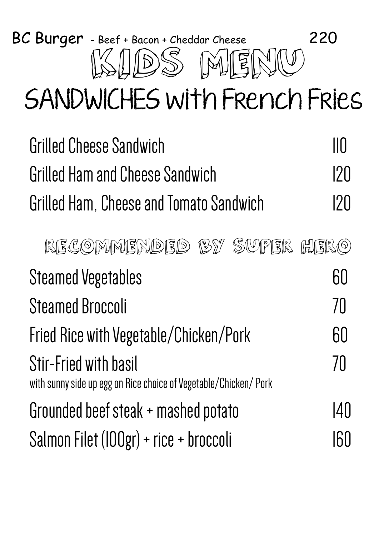

# SANDWICHES with French Fries

| <b>Grilled Cheese Sandwich</b>                                                                   | $\mathsf{II}\mathsf{\Pi}$ |
|--------------------------------------------------------------------------------------------------|---------------------------|
| Grilled Ham and Cheese Sandwich                                                                  | 120                       |
| Grilled Ham, Cheese and Tomato Sandwich                                                          | 120                       |
| RECOMMENDED BY SUPER HERO                                                                        |                           |
| <b>Steamed Vegetables</b>                                                                        | 60                        |
| <b>Steamed Broccoli</b>                                                                          | 70                        |
| Fried Rice with Vegetable/Chicken/Pork                                                           | 60                        |
| <b>Stir-Fried with basil</b><br>with sunny side up egg on Rice choice of Vegetable/Chicken/ Pork | 70                        |
| Grounded beef steak + mashed potato                                                              | 140                       |
| Salmon Filet (IOOgr) + rice + broccoli                                                           | 60                        |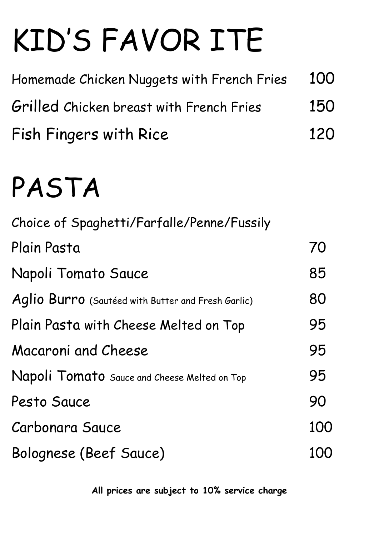# KID'S FAVOR ITE

| Homemade Chicken Nuggets with French Fries | 100 |
|--------------------------------------------|-----|
| Grilled Chicken breast with French Fries   | 150 |
| Fish Fingers with Rice                     | 120 |

# PASTA

| Choice of Spaghetti/Farfalle/Penne/Fussily         |     |
|----------------------------------------------------|-----|
| Plain Pasta                                        | 70  |
| Napoli Tomato Sauce                                | 85  |
| Aglio Burro (Sautéed with Butter and Fresh Garlic) | 80  |
| Plain Pasta with Cheese Melted on Top              | 95  |
| Macaroni and Cheese                                | 95  |
| Napoli Tomato Sauce and Cheese Melted on Top       | 95  |
| Pesto Sauce                                        | 90  |
| Carbonara Sauce                                    | 100 |
| Bolognese (Beef Sauce)                             | 100 |

**All prices are subject to 10% service charge**